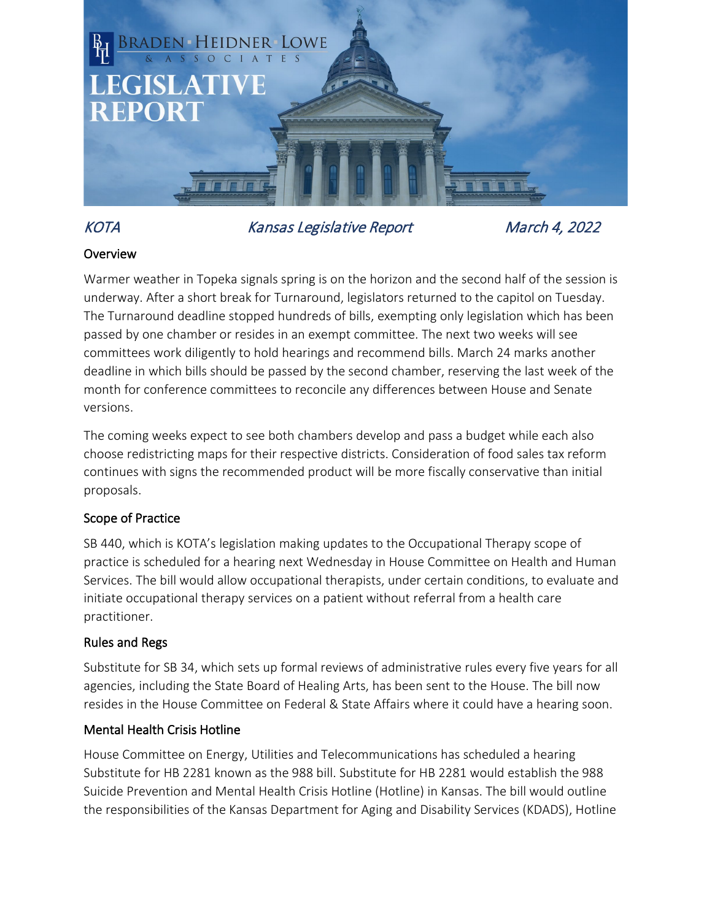

# KOTA Kansas Legislative Report March 4, 2022

## **Overview**

Warmer weather in Topeka signals spring is on the horizon and the second half of the session is underway. After a short break for Turnaround, legislators returned to the capitol on Tuesday. The Turnaround deadline stopped hundreds of bills, exempting only legislation which has been passed by one chamber or resides in an exempt committee. The next two weeks will see committees work diligently to hold hearings and recommend bills. March 24 marks another deadline in which bills should be passed by the second chamber, reserving the last week of the month for conference committees to reconcile any differences between House and Senate versions.

The coming weeks expect to see both chambers develop and pass a budget while each also choose redistricting maps for their respective districts. Consideration of food sales tax reform continues with signs the recommended product will be more fiscally conservative than initial proposals.

# Scope of Practice

SB 440, which is KOTA's legislation making updates to the Occupational Therapy scope of practice is scheduled for a hearing next Wednesday in House Committee on Health and Human Services. The bill would allow occupational therapists, under certain conditions, to evaluate and initiate occupational therapy services on a patient without referral from a health care practitioner.

# Rules and Regs

Substitute for SB 34, which sets up formal reviews of administrative rules every five years for all agencies, including the State Board of Healing Arts, has been sent to the House. The bill now resides in the House Committee on Federal & State Affairs where it could have a hearing soon.

#### Mental Health Crisis Hotline

House Committee on Energy, Utilities and Telecommunications has scheduled a hearing Substitute for HB 2281 known as the 988 bill. Substitute for HB 2281 would establish the 988 Suicide Prevention and Mental Health Crisis Hotline (Hotline) in Kansas. The bill would outline the responsibilities of the Kansas Department for Aging and Disability Services (KDADS), Hotline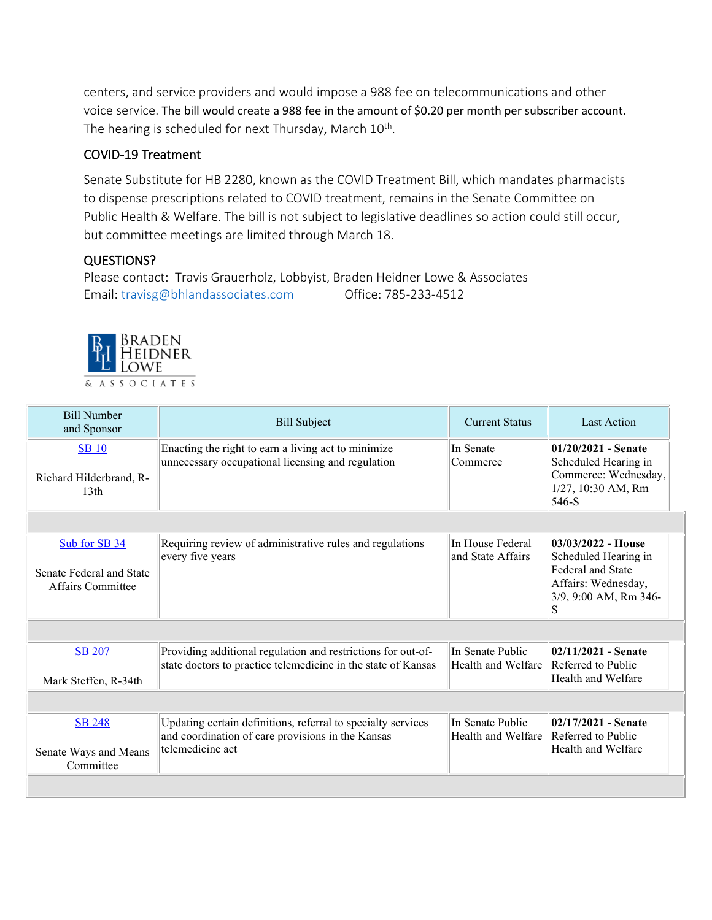centers, and service providers and would impose a 988 fee on telecommunications and other voice service. The bill would create a 988 fee in the amount of \$0.20 per month per subscriber account. The hearing is scheduled for next Thursday, March 10<sup>th</sup>.

#### COVID-19 Treatment

Senate Substitute for HB 2280, known as the COVID Treatment Bill, which mandates pharmacists to dispense prescriptions related to COVID treatment, remains in the Senate Committee on Public Health & Welfare. The bill is not subject to legislative deadlines so action could still occur, but committee meetings are limited through March 18.

## QUESTIONS?

Please contact: Travis Grauerholz, Lobbyist, Braden Heidner Lowe & Associates Email: [travisg@bhlandassociates.com](mailto:travisg@bhlandassociates.com) Office: 785-233-4512



| <b>Bill Number</b><br>and Sponsor                              | <b>Bill Subject</b>                                                                                                                   | <b>Current Status</b>                  | <b>Last Action</b>                                                                                                     |
|----------------------------------------------------------------|---------------------------------------------------------------------------------------------------------------------------------------|----------------------------------------|------------------------------------------------------------------------------------------------------------------------|
| <b>SB</b> 10<br>Richard Hilderbrand, R-<br>13 <sub>th</sub>    | Enacting the right to earn a living act to minimize<br>unnecessary occupational licensing and regulation                              | In Senate<br>Commerce                  | $01/20/2021$ - Senate<br>Scheduled Hearing in<br>Commerce: Wednesday,<br>1/27, 10:30 AM, Rm<br>546-S                   |
|                                                                |                                                                                                                                       |                                        |                                                                                                                        |
| Sub for SB 34<br>Senate Federal and State<br>Affairs Committee | Requiring review of administrative rules and regulations<br>every five years                                                          | In House Federal<br>and State Affairs  | $03/03/2022$ - House<br>Scheduled Hearing in<br>Federal and State<br>Affairs: Wednesday,<br>3/9, 9:00 AM, Rm 346-<br>S |
|                                                                |                                                                                                                                       |                                        |                                                                                                                        |
| <b>SB 207</b><br>Mark Steffen, R-34th                          | Providing additional regulation and restrictions for out-of-<br>state doctors to practice telemedicine in the state of Kansas         | In Senate Public<br>Health and Welfare | 02/11/2021 - Senate<br>Referred to Public<br>Health and Welfare                                                        |
|                                                                |                                                                                                                                       |                                        |                                                                                                                        |
| <b>SB 248</b><br>Senate Ways and Means<br>Committee            | Updating certain definitions, referral to specialty services<br>and coordination of care provisions in the Kansas<br>telemedicine act | In Senate Public<br>Health and Welfare | $02/17/2021$ - Senate<br>Referred to Public<br>Health and Welfare                                                      |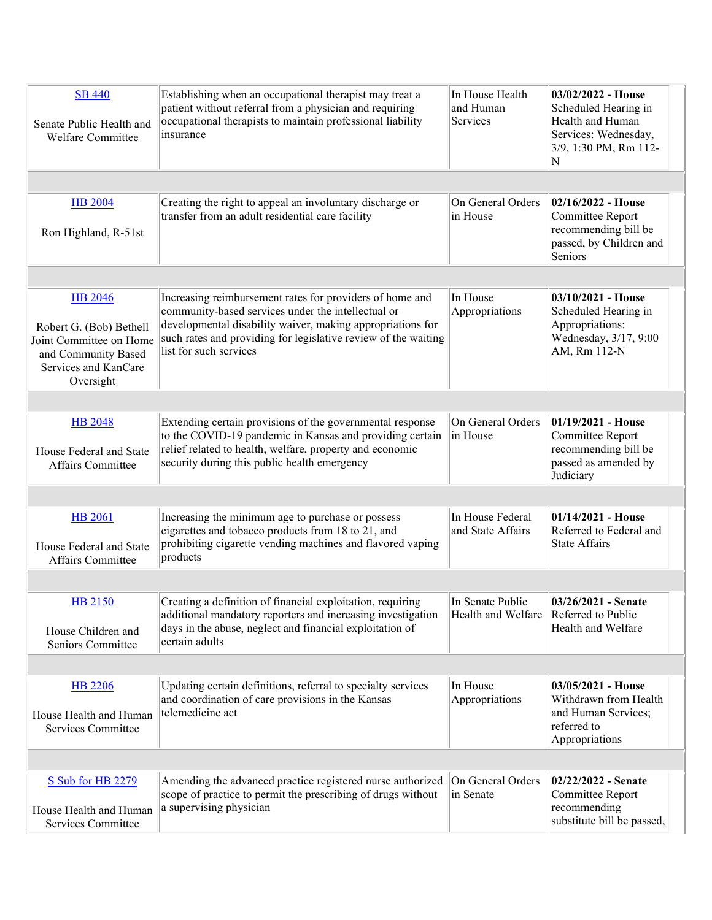| <b>SB 440</b><br>Senate Public Health and<br>Welfare Committee                                                                   | Establishing when an occupational therapist may treat a<br>patient without referral from a physician and requiring<br>occupational therapists to maintain professional liability<br>insurance                                                                            | In House Health<br>and Human<br>Services | 03/02/2022 - House<br>Scheduled Hearing in<br>Health and Human<br>Services: Wednesday,<br>3/9, 1:30 PM, Rm 112-<br>N |
|----------------------------------------------------------------------------------------------------------------------------------|--------------------------------------------------------------------------------------------------------------------------------------------------------------------------------------------------------------------------------------------------------------------------|------------------------------------------|----------------------------------------------------------------------------------------------------------------------|
|                                                                                                                                  |                                                                                                                                                                                                                                                                          |                                          |                                                                                                                      |
| <b>HB</b> 2004<br>Ron Highland, R-51st                                                                                           | Creating the right to appeal an involuntary discharge or<br>transfer from an adult residential care facility                                                                                                                                                             | On General Orders<br>in House            | 02/16/2022 - House<br>Committee Report<br>recommending bill be<br>passed, by Children and<br>Seniors                 |
|                                                                                                                                  |                                                                                                                                                                                                                                                                          |                                          |                                                                                                                      |
| <b>HB</b> 2046<br>Robert G. (Bob) Bethell<br>Joint Committee on Home<br>and Community Based<br>Services and KanCare<br>Oversight | Increasing reimbursement rates for providers of home and<br>community-based services under the intellectual or<br>developmental disability waiver, making appropriations for<br>such rates and providing for legislative review of the waiting<br>list for such services | In House<br>Appropriations               | 03/10/2021 - House<br>Scheduled Hearing in<br>Appropriations:<br>Wednesday, 3/17, 9:00<br>AM, Rm 112-N               |
|                                                                                                                                  |                                                                                                                                                                                                                                                                          |                                          |                                                                                                                      |
| <b>HB 2048</b><br>House Federal and State<br>Affairs Committee                                                                   | Extending certain provisions of the governmental response<br>to the COVID-19 pandemic in Kansas and providing certain<br>relief related to health, welfare, property and economic<br>security during this public health emergency                                        | On General Orders<br>in House            | 01/19/2021 - House<br>Committee Report<br>recommending bill be<br>passed as amended by<br>Judiciary                  |
|                                                                                                                                  |                                                                                                                                                                                                                                                                          |                                          |                                                                                                                      |
| <b>HB 2061</b><br>House Federal and State<br>Affairs Committee                                                                   | Increasing the minimum age to purchase or possess<br>cigarettes and tobacco products from 18 to 21, and<br>prohibiting cigarette vending machines and flavored vaping<br>products                                                                                        | In House Federal<br>and State Affairs    | 01/14/2021 - House<br>Referred to Federal and<br><b>State Affairs</b>                                                |
|                                                                                                                                  |                                                                                                                                                                                                                                                                          |                                          |                                                                                                                      |
| HB 2150<br>House Children and<br>Seniors Committee                                                                               | Creating a definition of financial exploitation, requiring<br>additional mandatory reporters and increasing investigation<br>days in the abuse, neglect and financial exploitation of<br>certain adults                                                                  | In Senate Public<br>Health and Welfare   | 03/26/2021 - Senate<br>Referred to Public<br>Health and Welfare                                                      |
|                                                                                                                                  |                                                                                                                                                                                                                                                                          |                                          |                                                                                                                      |
| <b>HB 2206</b><br>House Health and Human<br>Services Committee                                                                   | Updating certain definitions, referral to specialty services<br>and coordination of care provisions in the Kansas<br>telemedicine act                                                                                                                                    | In House<br>Appropriations               | 03/05/2021 - House<br>Withdrawn from Health<br>and Human Services;<br>referred to<br>Appropriations                  |
|                                                                                                                                  |                                                                                                                                                                                                                                                                          |                                          |                                                                                                                      |
| S Sub for HB 2279<br>House Health and Human<br><b>Services Committee</b>                                                         | Amending the advanced practice registered nurse authorized<br>scope of practice to permit the prescribing of drugs without<br>a supervising physician                                                                                                                    | On General Orders<br>in Senate           | 02/22/2022 - Senate<br>Committee Report<br>recommending<br>substitute bill be passed,                                |